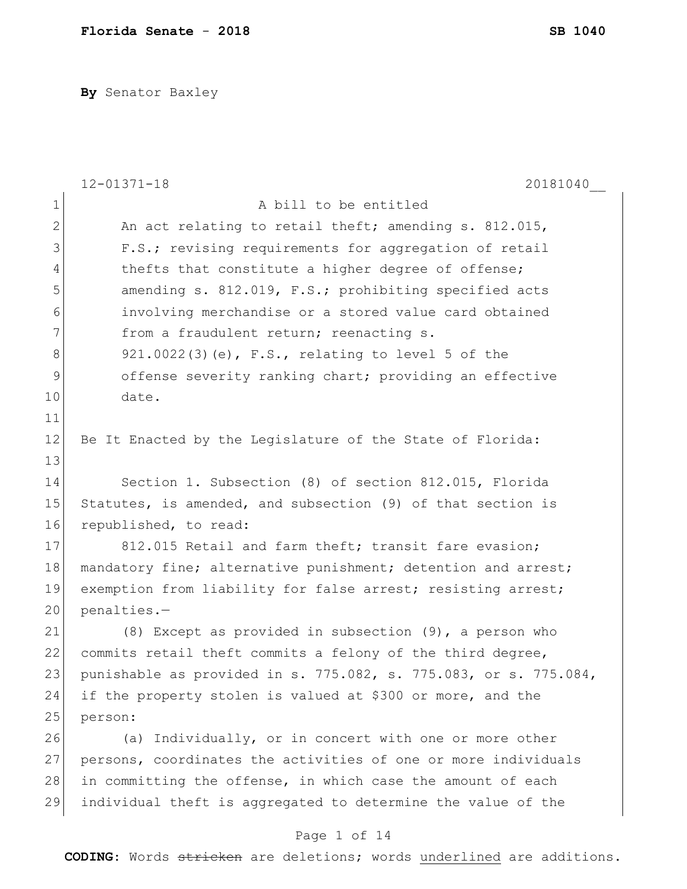**By** Senator Baxley

|              | $12 - 01371 - 18$<br>20181040                                    |
|--------------|------------------------------------------------------------------|
| $\mathbf 1$  | A bill to be entitled                                            |
| $\mathbf{2}$ | An act relating to retail theft; amending s. 812.015,            |
| 3            | F.S.; revising requirements for aggregation of retail            |
| 4            | thefts that constitute a higher degree of offense;               |
| 5            | amending s. 812.019, F.S.; prohibiting specified acts            |
| 6            | involving merchandise or a stored value card obtained            |
| 7            | from a fraudulent return; reenacting s.                          |
| $8\,$        | 921.0022(3)(e), F.S., relating to level 5 of the                 |
| $\mathsf 9$  | offense severity ranking chart; providing an effective           |
| 10           | date.                                                            |
| 11           |                                                                  |
| 12           | Be It Enacted by the Legislature of the State of Florida:        |
| 13           |                                                                  |
| 14           | Section 1. Subsection (8) of section 812.015, Florida            |
| 15           | Statutes, is amended, and subsection (9) of that section is      |
| 16           | republished, to read:                                            |
| 17           | 812.015 Retail and farm theft; transit fare evasion;             |
| 18           | mandatory fine; alternative punishment; detention and arrest;    |
| 19           | exemption from liability for false arrest; resisting arrest;     |
| 20           | penalties.-                                                      |
| 21           | (8) Except as provided in subsection $(9)$ , a person who        |
| 22           | commits retail theft commits a felony of the third degree,       |
| 23           | punishable as provided in s. 775.082, s. 775.083, or s. 775.084, |
| 24           | if the property stolen is valued at \$300 or more, and the       |
| 25           | person:                                                          |
| 26           | (a) Individually, or in concert with one or more other           |
| 27           | persons, coordinates the activities of one or more individuals   |
| 28           | in committing the offense, in which case the amount of each      |
| 29           | individual theft is aggregated to determine the value of the     |
|              | Page 1 of 14                                                     |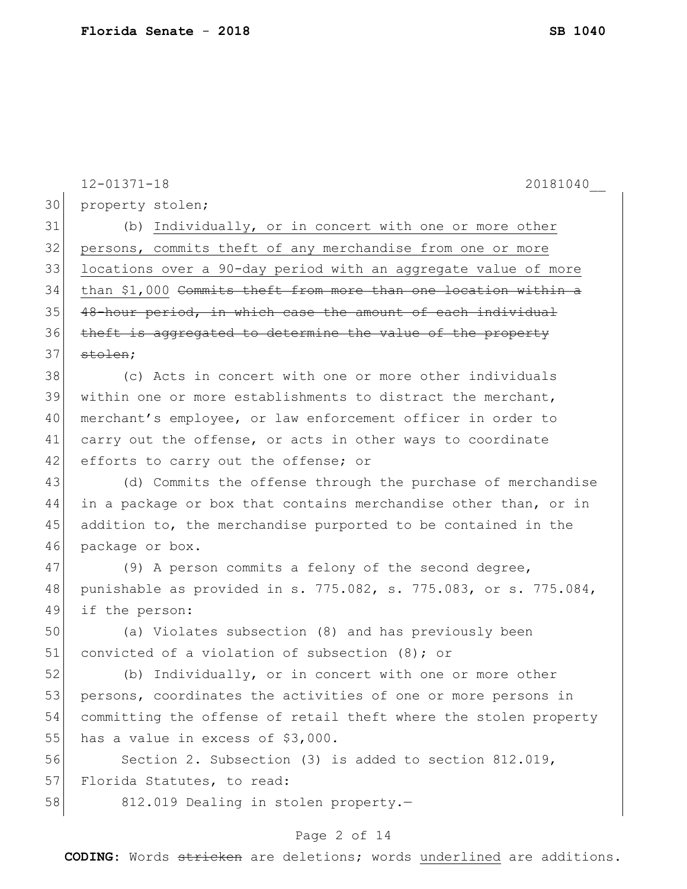|    | $12 - 01371 - 18$<br>20181040                                    |
|----|------------------------------------------------------------------|
| 30 | property stolen;                                                 |
| 31 | (b) Individually, or in concert with one or more other           |
| 32 | persons, commits theft of any merchandise from one or more       |
| 33 | locations over a 90-day period with an aggregate value of more   |
| 34 | than \$1,000 Commits theft from more than one location within a  |
| 35 | 48-hour period, in which case the amount of each individual      |
| 36 | theft is aggregated to determine the value of the property       |
| 37 | stolen;                                                          |
| 38 | (c) Acts in concert with one or more other individuals           |
| 39 | within one or more establishments to distract the merchant,      |
| 40 | merchant's employee, or law enforcement officer in order to      |
| 41 | carry out the offense, or acts in other ways to coordinate       |
| 42 | efforts to carry out the offense; or                             |
| 43 | (d) Commits the offense through the purchase of merchandise      |
| 44 | in a package or box that contains merchandise other than, or in  |
| 45 | addition to, the merchandise purported to be contained in the    |
| 46 | package or box.                                                  |
| 47 | (9) A person commits a felony of the second degree,              |
| 48 | punishable as provided in s. 775.082, s. 775.083, or s. 775.084, |
| 49 | if the person:                                                   |
| 50 | (a) Violates subsection (8) and has previously been              |
| 51 | convicted of a violation of subsection (8); or                   |
| 52 | (b) Individually, or in concert with one or more other           |
| 53 | persons, coordinates the activities of one or more persons in    |
| 54 | committing the offense of retail theft where the stolen property |
| 55 | has a value in excess of \$3,000.                                |
| 56 | Section 2. Subsection (3) is added to section 812.019,           |
| 57 | Florida Statutes, to read:                                       |
| 58 | 812.019 Dealing in stolen property.-                             |

# Page 2 of 14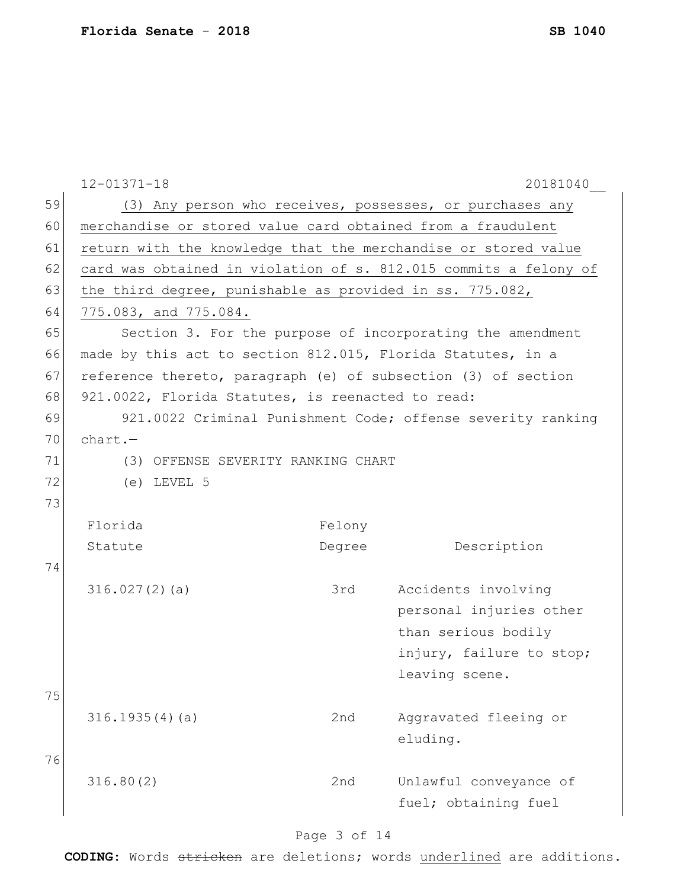| 59 |                                                                |        | (3) Any person who receives, possesses, or purchases any         |
|----|----------------------------------------------------------------|--------|------------------------------------------------------------------|
| 60 | merchandise or stored value card obtained from a fraudulent    |        |                                                                  |
| 61 | return with the knowledge that the merchandise or stored value |        |                                                                  |
| 62 |                                                                |        | card was obtained in violation of s. 812.015 commits a felony of |
| 63 | the third degree, punishable as provided in ss. 775.082,       |        |                                                                  |
| 64 | 775.083, and 775.084.                                          |        |                                                                  |
| 65 |                                                                |        | Section 3. For the purpose of incorporating the amendment        |
| 66 | made by this act to section 812.015, Florida Statutes, in a    |        |                                                                  |
| 67 | reference thereto, paragraph (e) of subsection (3) of section  |        |                                                                  |
| 68 | 921.0022, Florida Statutes, is reenacted to read:              |        |                                                                  |
| 69 |                                                                |        | 921.0022 Criminal Punishment Code; offense severity ranking      |
| 70 | $chart. -$                                                     |        |                                                                  |
| 71 | (3) OFFENSE SEVERITY RANKING CHART                             |        |                                                                  |
| 72 | $(e)$ LEVEL 5                                                  |        |                                                                  |
| 73 |                                                                |        |                                                                  |
|    | Florida                                                        | Felony |                                                                  |
|    | Statute                                                        | Degree | Description                                                      |
| 74 |                                                                |        |                                                                  |
|    | 316.027(2)(a)                                                  | 3rd    | Accidents involving                                              |
|    |                                                                |        | personal injuries other                                          |
|    |                                                                |        | than serious bodily                                              |
|    |                                                                |        | injury, failure to stop;                                         |
|    |                                                                |        | leaving scene.                                                   |
| 75 |                                                                |        |                                                                  |
|    | 316.1935(4)(a)                                                 | 2nd    | Aggravated fleeing or                                            |
|    |                                                                |        | eluding.                                                         |
| 76 |                                                                |        |                                                                  |
|    | 316.80(2)                                                      | 2nd    | Unlawful conveyance of                                           |
|    |                                                                |        | fuel; obtaining fuel                                             |
|    |                                                                |        |                                                                  |

# Page 3 of 14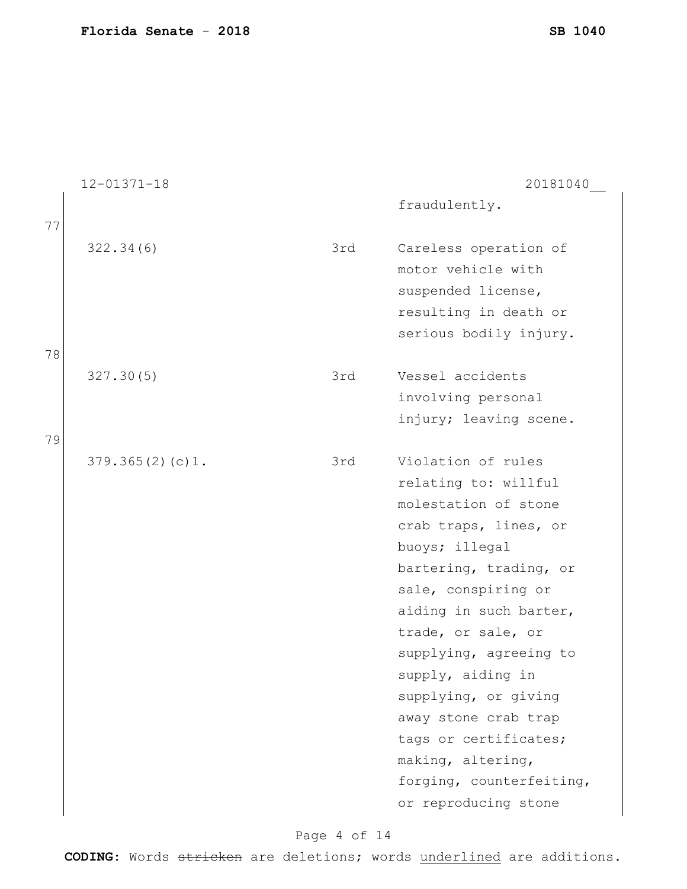|    | $12 - 01371 - 18$ |     | 20181040                                                                                                                                                                                                                                                                                                                                                                                                        |
|----|-------------------|-----|-----------------------------------------------------------------------------------------------------------------------------------------------------------------------------------------------------------------------------------------------------------------------------------------------------------------------------------------------------------------------------------------------------------------|
| 77 |                   |     | fraudulently.                                                                                                                                                                                                                                                                                                                                                                                                   |
| 78 | 322.34(6)         | 3rd | Careless operation of<br>motor vehicle with<br>suspended license,<br>resulting in death or<br>serious bodily injury.                                                                                                                                                                                                                                                                                            |
| 79 | 327.30(5)         | 3rd | Vessel accidents<br>involving personal<br>injury; leaving scene.                                                                                                                                                                                                                                                                                                                                                |
|    | 379.365(2)(c)1.   | 3rd | Violation of rules<br>relating to: willful<br>molestation of stone<br>crab traps, lines, or<br>buoys; illegal<br>bartering, trading, or<br>sale, conspiring or<br>aiding in such barter,<br>trade, or sale, or<br>supplying, agreeing to<br>supply, aiding in<br>supplying, or giving<br>away stone crab trap<br>tags or certificates;<br>making, altering,<br>forging, counterfeiting,<br>or reproducing stone |

# Page 4 of 14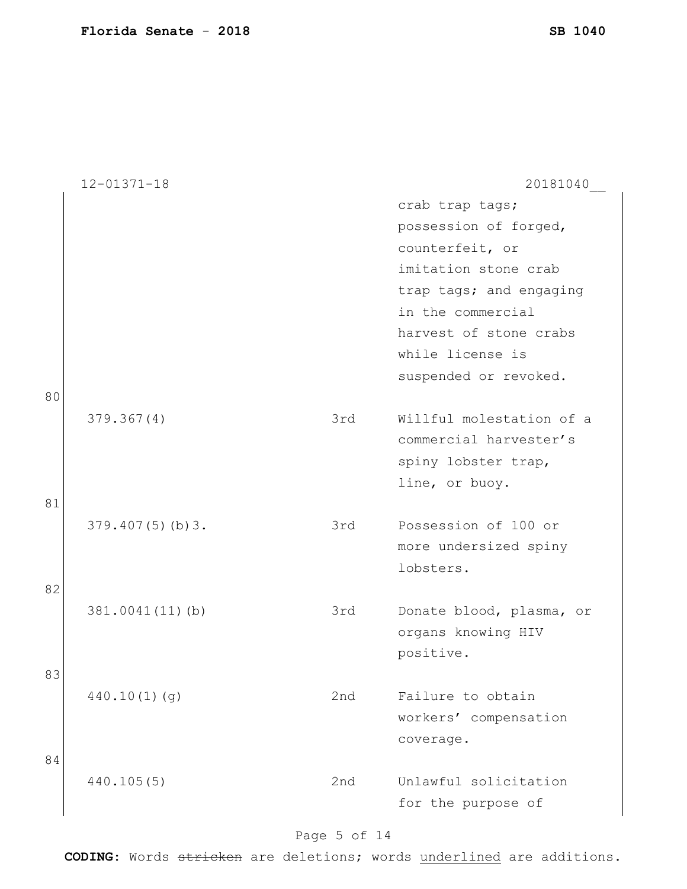|    | $12 - 01371 - 18$   |     | 20181040                 |
|----|---------------------|-----|--------------------------|
|    |                     |     | crab trap tags;          |
|    |                     |     | possession of forged,    |
|    |                     |     | counterfeit, or          |
|    |                     |     | imitation stone crab     |
|    |                     |     | trap tags; and engaging  |
|    |                     |     | in the commercial        |
|    |                     |     | harvest of stone crabs   |
|    |                     |     | while license is         |
|    |                     |     | suspended or revoked.    |
| 80 |                     |     |                          |
|    | 379.367(4)          | 3rd | Willful molestation of a |
|    |                     |     | commercial harvester's   |
|    |                     |     | spiny lobster trap,      |
|    |                     |     | line, or buoy.           |
| 81 | $379.407(5)$ (b) 3. | 3rd | Possession of 100 or     |
|    |                     |     | more undersized spiny    |
|    |                     |     | lobsters.                |
| 82 |                     |     |                          |
|    | 381.0041(11)(b)     | 3rd | Donate blood, plasma, or |
|    |                     |     | organs knowing HIV       |
|    |                     |     | positive.                |
| 83 |                     |     |                          |
|    | 440.10(1)(q)        | 2nd | Failure to obtain        |
|    |                     |     | workers' compensation    |
|    |                     |     | coverage.                |
| 84 |                     |     |                          |
|    | 440.105(5)          | 2nd | Unlawful solicitation    |
|    |                     |     | for the purpose of       |

# Page 5 of 14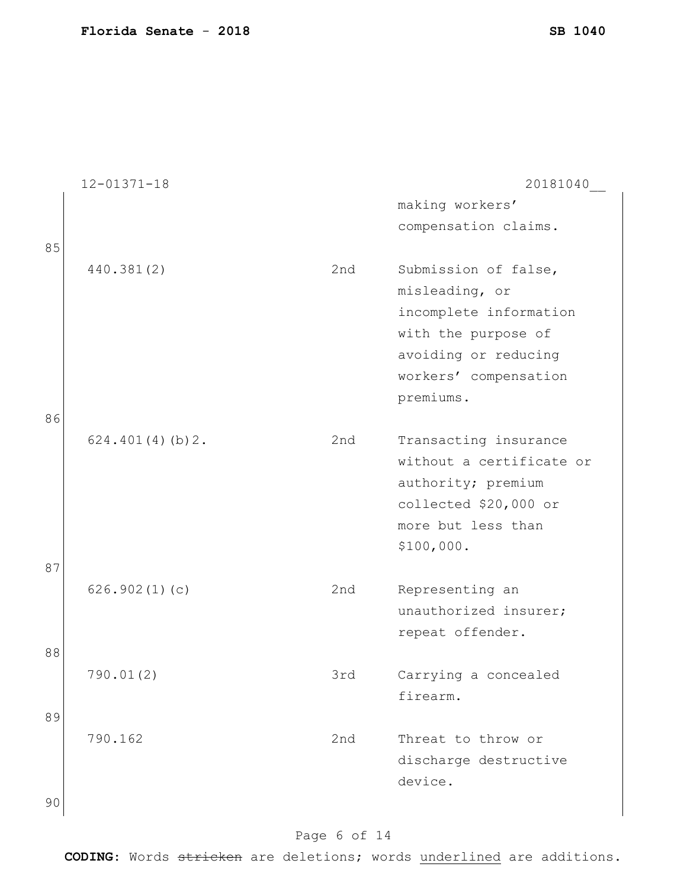|    | $12 - 01371 - 18$ |     | 20181040                 |
|----|-------------------|-----|--------------------------|
|    |                   |     | making workers'          |
|    |                   |     | compensation claims.     |
| 85 |                   |     |                          |
|    | 440.381(2)        | 2nd | Submission of false,     |
|    |                   |     | misleading, or           |
|    |                   |     | incomplete information   |
|    |                   |     | with the purpose of      |
|    |                   |     | avoiding or reducing     |
|    |                   |     | workers' compensation    |
|    |                   |     | premiums.                |
| 86 |                   |     |                          |
|    | 624.401(4)(b)2.   | 2nd | Transacting insurance    |
|    |                   |     | without a certificate or |
|    |                   |     | authority; premium       |
|    |                   |     | collected \$20,000 or    |
|    |                   |     | more but less than       |
|    |                   |     | \$100,000.               |
| 87 |                   |     |                          |
|    | 626.902(1)(c)     | 2nd | Representing an          |
|    |                   |     | unauthorized insurer;    |
|    |                   |     | repeat offender.         |
| 88 |                   |     |                          |
|    | 790.01(2)         | 3rd | Carrying a concealed     |
|    |                   |     | firearm.                 |
| 89 |                   |     |                          |
|    | 790.162           | 2nd | Threat to throw or       |
|    |                   |     | discharge destructive    |
|    |                   |     | device.                  |
| 90 |                   |     |                          |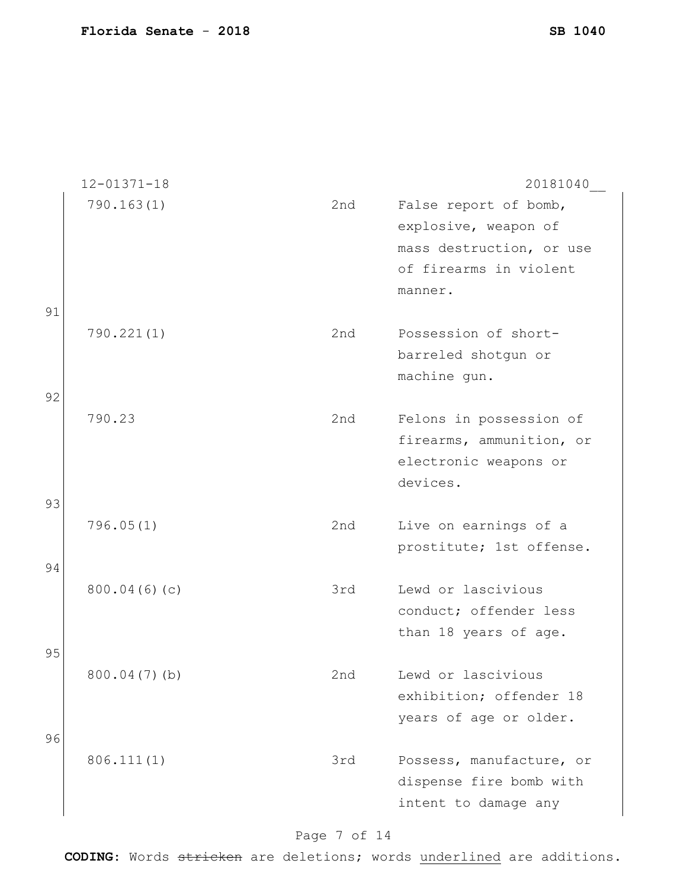12-01371-18 20181040\_\_ 790.163(1) 2nd False report of bomb, explosive, weapon of mass destruction, or use of firearms in violent manner. 91 790.221(1) 2nd Possession of shortbarreled shotgun or machine gun. 92 790.23 2nd Felons in possession of firearms, ammunition, or electronic weapons or devices. 93 796.05(1) 2nd Live on earnings of a prostitute; 1st offense. 94 800.04(6)(c) 3rd Lewd or lascivious conduct; offender less than 18 years of age. 95 800.04(7)(b) 2nd Lewd or lascivious exhibition; offender 18 years of age or older. 96 806.111(1) 3rd Possess, manufacture, or dispense fire bomb with intent to damage any

Page 7 of 14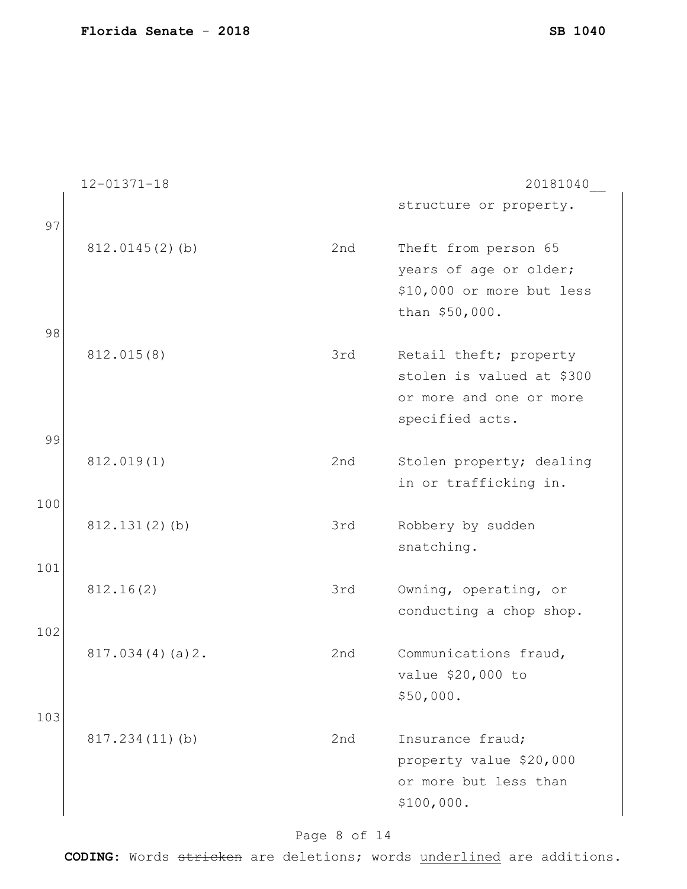12-01371-18 20181040\_\_ structure or property. 97 812.0145(2)(b) 2nd Theft from person 65 years of age or older; \$10,000 or more but less than \$50,000. 98 812.015(8) 3rd Retail theft; property stolen is valued at \$300 or more and one or more specified acts. 99 812.019(1) 2nd Stolen property; dealing in or trafficking in. 100 812.131(2)(b) 3rd Robbery by sudden snatching. 101 812.16(2) 3rd Owning, operating, or conducting a chop shop. 102 817.034(4)(a)2. 2nd Communications fraud, value \$20,000 to \$50,000. 103 817.234(11)(b) 2nd Insurance fraud; property value \$20,000 or more but less than \$100,000.

Page 8 of 14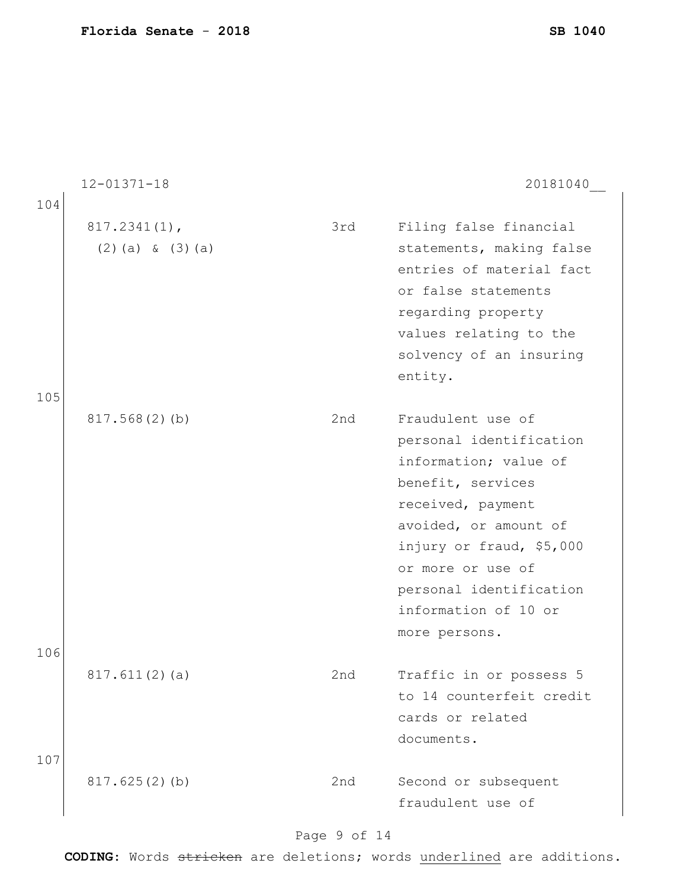|            | $12 - 01371 - 18$                        |     | 20181040                                                                                                                                                                                                                                                      |
|------------|------------------------------------------|-----|---------------------------------------------------------------------------------------------------------------------------------------------------------------------------------------------------------------------------------------------------------------|
| 104        |                                          |     |                                                                                                                                                                                                                                                               |
|            | $817.2341(1)$ ,<br>$(2)$ (a) & $(3)$ (a) | 3rd | Filing false financial<br>statements, making false<br>entries of material fact<br>or false statements<br>regarding property<br>values relating to the<br>solvency of an insuring<br>entity.                                                                   |
| 105        | 817.568(2)(b)                            | 2nd | Fraudulent use of<br>personal identification<br>information; value of<br>benefit, services<br>received, payment<br>avoided, or amount of<br>injury or fraud, \$5,000<br>or more or use of<br>personal identification<br>information of 10 or<br>more persons. |
| 106<br>107 | 817.611(2)(a)                            | 2nd | Traffic in or possess 5<br>to 14 counterfeit credit<br>cards or related<br>documents.                                                                                                                                                                         |
|            | 817.625(2)(b)                            | 2nd | Second or subsequent<br>fraudulent use of                                                                                                                                                                                                                     |

# Page 9 of 14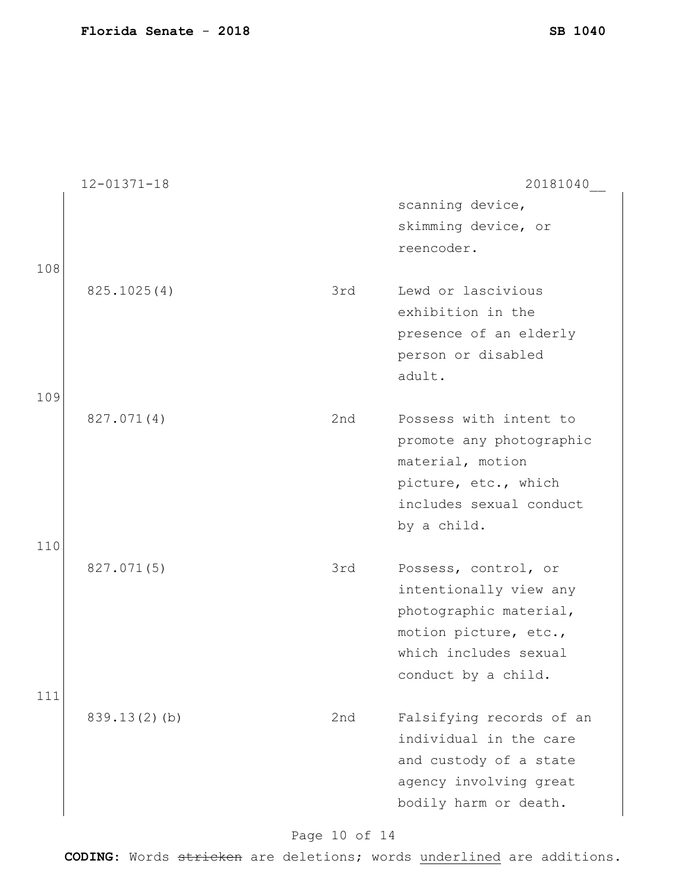|     | $12 - 01371 - 18$ |     | 20181040                                                                                                                                          |
|-----|-------------------|-----|---------------------------------------------------------------------------------------------------------------------------------------------------|
| 108 |                   |     | scanning device,<br>skimming device, or<br>reencoder.                                                                                             |
| 109 | 825.1025(4)       | 3rd | Lewd or lascivious<br>exhibition in the<br>presence of an elderly<br>person or disabled<br>adult.                                                 |
| 110 | 827.071(4)        | 2nd | Possess with intent to<br>promote any photographic<br>material, motion<br>picture, etc., which<br>includes sexual conduct<br>by a child.          |
| 111 | 827.071(5)        | 3rd | Possess, control, or<br>intentionally view any<br>photographic material,<br>motion picture, etc.,<br>which includes sexual<br>conduct by a child. |
|     | 839.13(2)(b)      | 2nd | Falsifying records of an<br>individual in the care<br>and custody of a state<br>agency involving great<br>bodily harm or death.                   |

Page 10 of 14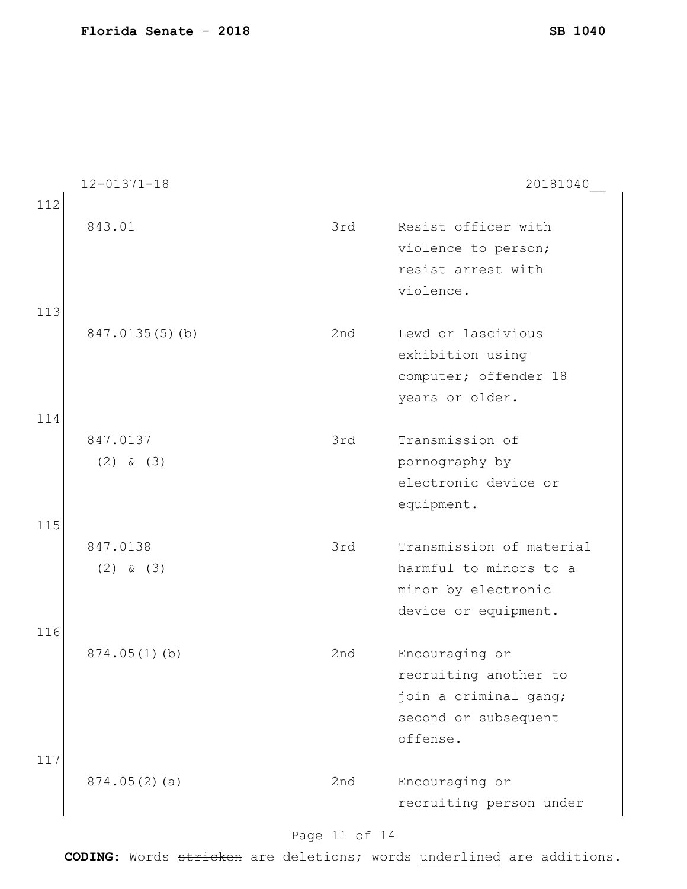|     | $12 - 01371 - 18$ |     | 20181040                 |
|-----|-------------------|-----|--------------------------|
| 112 | 843.01            | 3rd | Resist officer with      |
|     |                   |     | violence to person;      |
|     |                   |     | resist arrest with       |
|     |                   |     | violence.                |
| 113 |                   |     |                          |
|     | 847.0135(5)(b)    | 2nd | Lewd or lascivious       |
|     |                   |     | exhibition using         |
|     |                   |     | computer; offender 18    |
| 114 |                   |     | years or older.          |
|     | 847.0137          | 3rd | Transmission of          |
|     | $(2)$ & $(3)$     |     | pornography by           |
|     |                   |     | electronic device or     |
|     |                   |     | equipment.               |
| 115 |                   |     |                          |
|     | 847.0138          | 3rd | Transmission of material |
|     | $(2)$ & $(3)$     |     | harmful to minors to a   |
|     |                   |     | minor by electronic      |
|     |                   |     | device or equipment.     |
| 116 |                   | 2nd | Encouraging or           |
|     | 874.05(1)(b)      |     | recruiting another to    |
|     |                   |     | join a criminal gang;    |
|     |                   |     | second or subsequent     |
|     |                   |     | offense.                 |
| 117 | 874.05(2)(a)      | 2nd | Encouraging or           |
|     |                   |     | recruiting person under  |
|     |                   |     |                          |

# Page 11 of 14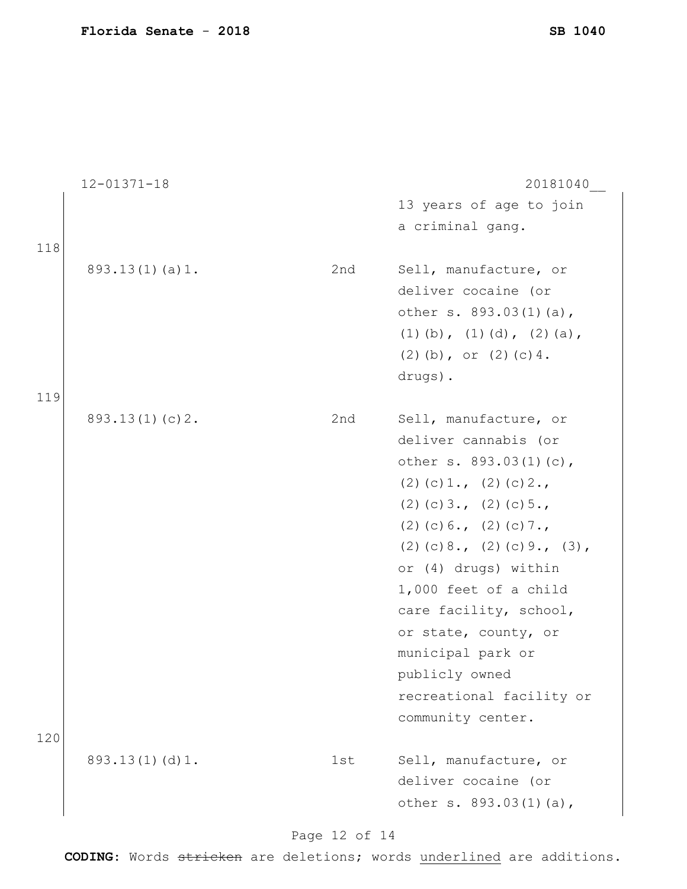|     | $12 - 01371 - 18$ |     | 20181040                         |
|-----|-------------------|-----|----------------------------------|
|     |                   |     | 13 years of age to join          |
|     |                   |     | a criminal gang.                 |
| 118 |                   |     |                                  |
|     | 893.13(1)(a)1.    | 2nd | Sell, manufacture, or            |
|     |                   |     | deliver cocaine (or              |
|     |                   |     | other s. 893.03(1)(a),           |
|     |                   |     | $(1)$ (b), $(1)$ (d), $(2)$ (a), |
|     |                   |     | $(2)$ (b), or $(2)$ (c) 4.       |
|     |                   |     | drugs).                          |
| 119 |                   |     |                                  |
|     | 893.13(1)(c)2.    | 2nd | Sell, manufacture, or            |
|     |                   |     | deliver cannabis (or             |
|     |                   |     | other s. 893.03(1)(c),           |
|     |                   |     | $(2)$ (c) 1., (2) (c) 2.,        |
|     |                   |     | $(2)$ (c) 3., (2) (c) 5.,        |
|     |                   |     | $(2)$ (c) 6., (2) (c) 7.,        |
|     |                   |     | $(2)$ (c) 8., (2) (c) 9., (3),   |
|     |                   |     | or (4) drugs) within             |
|     |                   |     | 1,000 feet of a child            |
|     |                   |     | care facility, school,           |
|     |                   |     | or state, county, or             |
|     |                   |     | municipal park or                |
|     |                   |     | publicly owned                   |
|     |                   |     | recreational facility or         |
|     |                   |     | community center.                |
| 120 |                   |     |                                  |
|     | 893.13(1)(d)1.    | 1st | Sell, manufacture, or            |
|     |                   |     | deliver cocaine (or              |
|     |                   |     | other s. 893.03(1)(a),           |
|     |                   |     |                                  |

# Page 12 of 14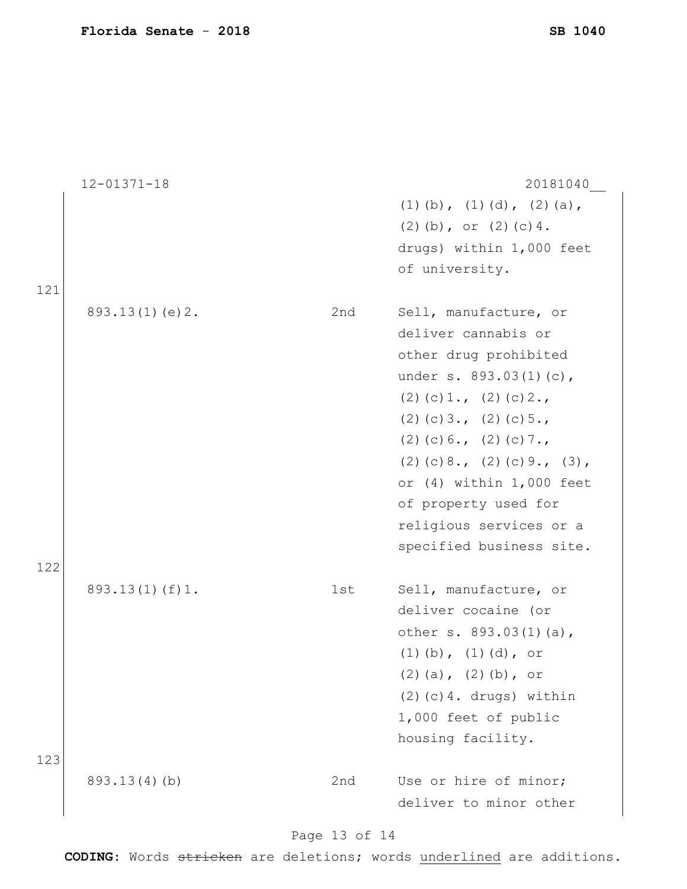12-01371-18 20181040\_\_ (1)(b), (1)(d), (2)(a), (2)(b), or  $(2)(c)4$ . drugs) within 1,000 feet of university. 121 893.13(1)(e)2. 2nd Sell, manufacture, or deliver cannabis or other drug prohibited under s. 893.03(1)(c), (2)(c) $1., (2)(c)2.,$ (2)(c) $3., (2)(c)5.,$ (2)(c)6., (2)(c)7.,  $(2)(c)8., (2)(c)9., (3),$ or (4) within 1,000 feet of property used for religious services or a specified business site. 122 893.13(1)(f)1. 1st Sell, manufacture, or deliver cocaine (or other s. 893.03(1)(a), (1)(b), (1)(d), or  $(2)$  (a),  $(2)$  (b), or  $(2)(c)$ 4. drugs) within 1,000 feet of public housing facility. 123 893.13(4)(b) 2nd Use or hire of minor; deliver to minor other

### Page 13 of 14